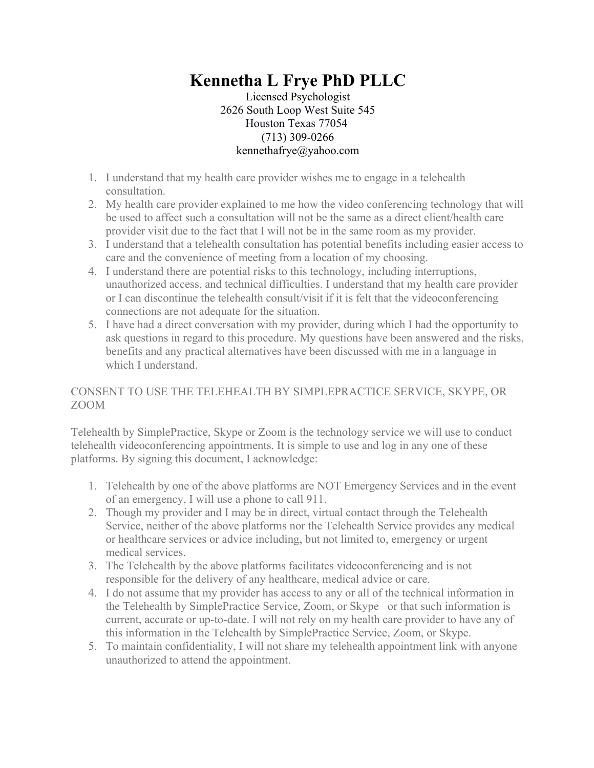## **Kennetha L Frye PhD PLLC**

Licensed Psychologist 2626 South Loop West Suite 545 Houston Texas 77054 (713) 309-0266 kennethafrye@yahoo.com

- 1. I understand that my health care provider wishes me to engage in a telehealth consultation.
- 2. My health care provider explained to me how the video conferencing technology that will be used to affect such a consultation will not be the same as a direct client/health care provider visit due to the fact that I will not be in the same room as my provider.
- 3. I understand that a telehealth consultation has potential benefits including easier access to care and the convenience of meeting from a location of my choosing.
- 4. I understand there are potential risks to this technology, including interruptions, unauthorized access, and technical difficulties. I understand that my health care provider or I can discontinue the telehealth consult/visit if it is felt that the videoconferencing connections are not adequate for the situation.
- 5. I have had a direct conversation with my provider, during which I had the opportunity to ask questions in regard to this procedure. My questions have been answered and the risks, benefits and any practical alternatives have been discussed with me in a language in which I understand.

## CONSENT TO USE THE TELEHEALTH BY SIMPLEPRACTICE SERVICE, SKYPE, OR ZOOM

Telehealth by SimplePractice, Skype or Zoom is the technology service we will use to conduct telehealth videoconferencing appointments. It is simple to use and log in any one of these platforms. By signing this document, I acknowledge:

- 1. Telehealth by one of the above platforms are NOT Emergency Services and in the event of an emergency, I will use a phone to call 911.
- 2. Though my provider and I may be in direct, virtual contact through the Telehealth Service, neither of the above platforms nor the Telehealth Service provides any medical or healthcare services or advice including, but not limited to, emergency or urgent medical services.
- 3. The Telehealth by the above platforms facilitates videoconferencing and is not responsible for the delivery of any healthcare, medical advice or care.
- 4. I do not assume that my provider has access to any or all of the technical information in the Telehealth by SimplePractice Service, Zoom, or Skype– or that such information is current, accurate or up-to-date. I will not rely on my health care provider to have any of this information in the Telehealth by SimplePractice Service, Zoom, or Skype.
- 5. To maintain confidentiality, I will not share my telehealth appointment link with anyone unauthorized to attend the appointment.